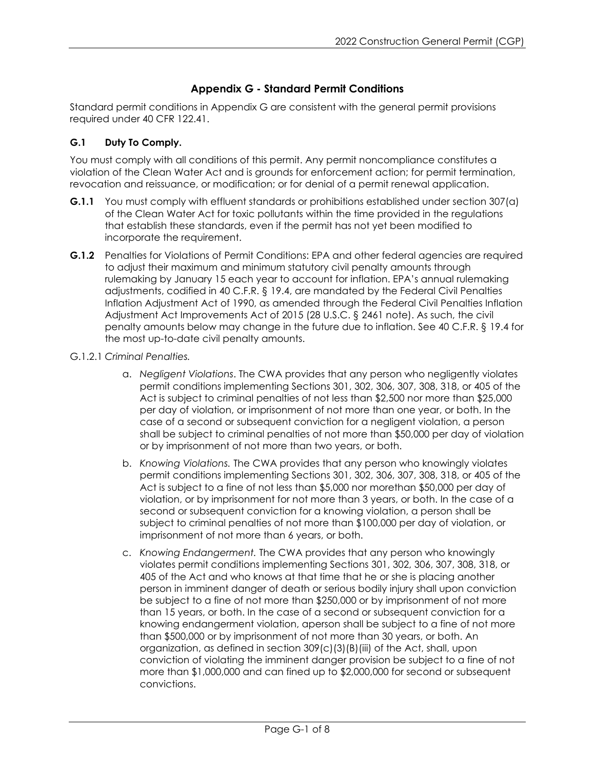# **Appendix G - Standard Permit Conditions**

Standard permit conditions in Appendix G are consistent with the general permit provisions required under 40 CFR 122.41.

### **G.1 Duty To Comply.**

You must comply with all conditions of this permit. Any permit noncompliance constitutes a violation of the Clean Water Act and is grounds for enforcement action; for permit termination, revocation and reissuance, or modification; or for denial of a permit renewal application.

- **G.1.1** You must comply with effluent standards or prohibitions established under section 307(a) of the Clean Water Act for toxic pollutants within the time provided in the regulations that establish these standards, even if the permit has not yet been modified to incorporate the requirement.
- **G.1.2** Penalties for Violations of Permit Conditions: EPA and other federal agencies are required to adjust their maximum and minimum statutory civil penalty amounts through rulemaking by January 15 each year to account for inflation. EPA's annual rulemaking adjustments, codified in 40 C.F.R. § 19.4, are mandated by the Federal Civil Penalties Inflation Adjustment Act of 1990, as amended through the Federal Civil Penalties Inflation Adjustment Act Improvements Act of 2015 (28 U.S.C. § 2461 note). As such, the civil penalty amounts below may change in the future due to inflation. See 40 C.F.R. § 19.4 for the most up-to-date civil penalty amounts.
- G.1.2.1 *Criminal Penalties.*
	- a. *Negligent Violations*. The CWA provides that any person who negligently violates permit conditions implementing Sections 301, 302, 306, 307, 308, 318, or 405 of the Act is subject to criminal penalties of not less than \$2,500 nor more than \$25,000 per day of violation, or imprisonment of not more than one year, or both. In the case of a second or subsequent conviction for a negligent violation, a person shall be subject to criminal penalties of not more than \$50,000 per day of violation or by imprisonment of not more than two years, or both.
	- b. *Knowing Violations.* The CWA provides that any person who knowingly violates permit conditions implementing Sections 301, 302, 306, 307, 308, 318, or 405 of the Act is subject to a fine of not less than \$5,000 nor morethan \$50,000 per day of violation, or by imprisonment for not more than 3 years, or both. In the case of a second or subsequent conviction for a knowing violation, a person shall be subject to criminal penalties of not more than \$100,000 per day of violation, or imprisonment of not more than 6 years, or both.
	- c. *Knowing Endangerment.* The CWA provides that any person who knowingly violates permit conditions implementing Sections 301, 302, 306, 307, 308, 318, or 405 of the Act and who knows at that time that he or she is placing another person in imminent danger of death or serious bodily injury shall upon conviction be subject to a fine of not more than \$250,000 or by imprisonment of not more than 15 years, or both. In the case of a second or subsequent conviction for a knowing endangerment violation, aperson shall be subject to a fine of not more than \$500,000 or by imprisonment of not more than 30 years, or both. An organization, as defined in section 309(c)(3)(B)(iii) of the Act, shall, upon conviction of violating the imminent danger provision be subject to a fine of not more than \$1,000,000 and can fined up to \$2,000,000 for second or subsequent convictions.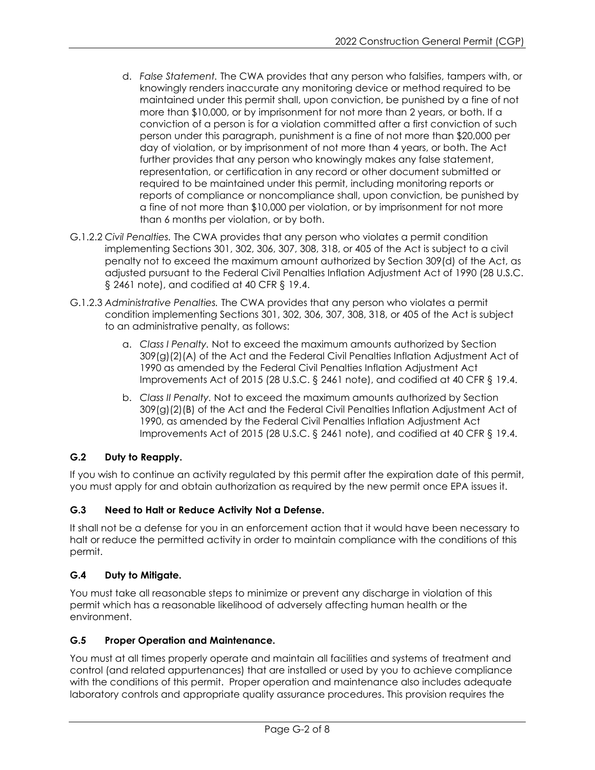- d. *False Statement.* The CWA provides that any person who falsifies, tampers with, or knowingly renders inaccurate any monitoring device or method required to be maintained under this permit shall, upon conviction, be punished by a fine of not more than \$10,000, or by imprisonment for not more than 2 years, or both. If a conviction of a person is for a violation committed after a first conviction of such person under this paragraph, punishment is a fine of not more than \$20,000 per day of violation, or by imprisonment of not more than 4 years, or both. The Act further provides that any person who knowingly makes any false statement, representation, or certification in any record or other document submitted or required to be maintained under this permit, including monitoring reports or reports of compliance or noncompliance shall, upon conviction, be punished by a fine of not more than \$10,000 per violation, or by imprisonment for not more than 6 months per violation, or by both.
- G.1.2.2 *Civil Penalties.* The CWA provides that any person who violates a permit condition implementing Sections 301, 302, 306, 307, 308, 318, or 405 of the Act is subject to a civil penalty not to exceed the maximum amount authorized by Section 309(d) of the Act, as adjusted pursuant to the Federal Civil Penalties Inflation Adjustment Act of 1990 (28 U.S.C. § 2461 note), and codified at 40 CFR § 19.4.
- G.1.2.3 *Administrative Penalties.* The CWA provides that any person who violates a permit condition implementing Sections 301, 302, 306, 307, 308, 318, or 405 of the Act is subject to an administrative penalty, as follows:
	- a. *Class I Penalty.* Not to exceed the maximum amounts authorized by Section 309(g)(2)(A) of the Act and the Federal Civil Penalties Inflation Adjustment Act of 1990 as amended by the Federal Civil Penalties Inflation Adjustment Act Improvements Act of 2015 (28 U.S.C. § 2461 note), and codified at 40 CFR § 19.4.
	- b. *Class II Penalty.* Not to exceed the maximum amounts authorized by Section 309(g)(2)(B) of the Act and the Federal Civil Penalties Inflation Adjustment Act of 1990, as amended by the Federal Civil Penalties Inflation Adjustment Act Improvements Act of 2015 (28 U.S.C. § 2461 note), and codified at 40 CFR § 19.4.

# **G.2 Duty to Reapply.**

If you wish to continue an activity regulated by this permit after the expiration date of this permit, you must apply for and obtain authorization as required by the new permit once EPA issues it.

## **G.3 Need to Halt or Reduce Activity Not a Defense.**

It shall not be a defense for you in an enforcement action that it would have been necessary to halt or reduce the permitted activity in order to maintain compliance with the conditions of this permit.

## **G.4 Duty to Mitigate.**

You must take all reasonable steps to minimize or prevent any discharge in violation of this permit which has a reasonable likelihood of adversely affecting human health or the environment.

## **G.5 Proper Operation and Maintenance.**

You must at all times properly operate and maintain all facilities and systems of treatment and control (and related appurtenances) that are installed or used by you to achieve compliance with the conditions of this permit. Proper operation and maintenance also includes adequate laboratory controls and appropriate quality assurance procedures. This provision requires the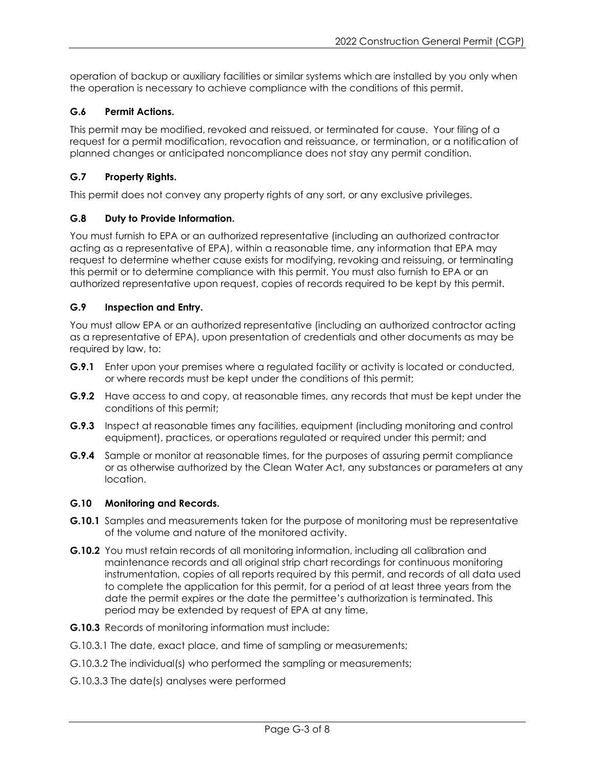operation of backup or auxiliary facilities or similar systems which are installed by you only when the operation is necessary to achieve compliance with the conditions of this permit.

### **G.6 Permit Actions.**

This permit may be modified, revoked and reissued, or terminated for cause. Your filing of a request for a permit modification, revocation and reissuance, or termination, or a notification of planned changes or anticipated noncompliance does not stay any permit condition.

### **G.7 Property Rights.**

This permit does not convey any property rights of any sort, or any exclusive privileges.

### **G.8 Duty to Provide Information.**

You must furnish to EPA or an authorized representative (including an authorized contractor acting as a representative of EPA), within a reasonable time, any information that EPA may request to determine whether cause exists for modifying, revoking and reissuing, or terminating this permit or to determine compliance with this permit. You must also furnish to EPA or an authorized representative upon request, copies of records required to be kept by this permit.

### **G.9 Inspection and Entry.**

You must allow EPA or an authorized representative (including an authorized contractor acting as a representative of EPA), upon presentation of credentials and other documents as may be required by law, to:

- **G.9.1** Enter upon your premises where a regulated facility or activity is located or conducted, or where records must be kept under the conditions of this permit;
- **G.9.2** Have access to and copy, at reasonable times, any records that must be kept under the conditions of this permit;
- **G.9.3** Inspect at reasonable times any facilities, equipment (including monitoring and control equipment), practices, or operations regulated or required under this permit; and
- **G.9.4** Sample or monitor at reasonable times, for the purposes of assuring permit compliance or as otherwise authorized by the Clean Water Act, any substances or parameters at any location.

#### **G.10 Monitoring and Records.**

- **G.10.1** Samples and measurements taken for the purpose of monitoring must be representative of the volume and nature of the monitored activity.
- **G.10.2** You must retain records of all monitoring information, including all calibration and maintenance records and all original strip chart recordings for continuous monitoring instrumentation, copies of all reports required by this permit, and records of all data used to complete the application for this permit, for a period of at least three years from the date the permit expires or the date the permittee's authorization is terminated. This period may be extended by request of EPA at any time.
- **G.10.3** Records of monitoring information must include:
- G.10.3.1 The date, exact place, and time of sampling or measurements;
- G.10.3.2 The individual(s) who performed the sampling or measurements;
- G.10.3.3 The date(s) analyses were performed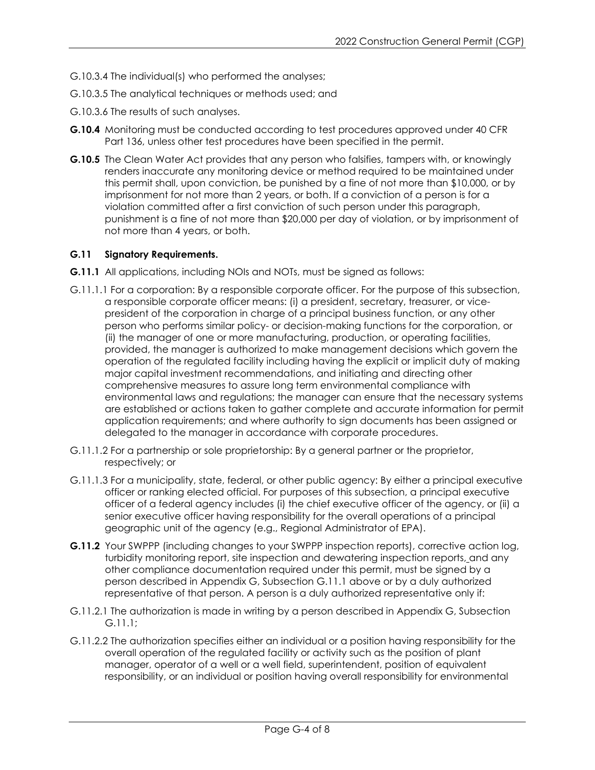- G.10.3.4 The individual(s) who performed the analyses;
- G.10.3.5 The analytical techniques or methods used; and
- G.10.3.6 The results of such analyses.
- **G.10.4** Monitoring must be conducted according to test procedures approved under 40 CFR Part 136, unless other test procedures have been specified in the permit.
- **G.10.5** The Clean Water Act provides that any person who falsifies, tampers with, or knowingly renders inaccurate any monitoring device or method required to be maintained under this permit shall, upon conviction, be punished by a fine of not more than \$10,000, or by imprisonment for not more than 2 years, or both. If a conviction of a person is for a violation committed after a first conviction of such person under this paragraph, punishment is a fine of not more than \$20,000 per day of violation, or by imprisonment of not more than 4 years, or both.

#### **G.11 Signatory Requirements.**

- **G.11.1** All applications, including NOIs and NOTs, must be signed as follows:
- G.11.1.1 For a corporation: By a responsible corporate officer. For the purpose of this subsection, a responsible corporate officer means: (i) a president, secretary, treasurer, or vicepresident of the corporation in charge of a principal business function, or any other person who performs similar policy- or decision-making functions for the corporation, or (ii) the manager of one or more manufacturing, production, or operating facilities, provided, the manager is authorized to make management decisions which govern the operation of the regulated facility including having the explicit or implicit duty of making major capital investment recommendations, and initiating and directing other comprehensive measures to assure long term environmental compliance with environmental laws and regulations; the manager can ensure that the necessary systems are established or actions taken to gather complete and accurate information for permit application requirements; and where authority to sign documents has been assigned or delegated to the manager in accordance with corporate procedures.
- G.11.1.2 For a partnership or sole proprietorship: By a general partner or the proprietor, respectively; or
- G.11.1.3 For a municipality, state, federal, or other public agency: By either a principal executive officer or ranking elected official. For purposes of this subsection, a principal executive officer of a federal agency includes (i) the chief executive officer of the agency, or (ii) a senior executive officer having responsibility for the overall operations of a principal geographic unit of the agency (e.g., Regional Administrator of EPA).
- **G.11.2** Your SWPPP (including changes to your SWPPP inspection reports), corrective action log, turbidity monitoring report, site inspection and dewatering inspection reports, and any other compliance documentation required under this permit, must be signed by a person described in Appendix G, Subsection G.11.1 above or by a duly authorized representative of that person. A person is a duly authorized representative only if:
- G.11.2.1 The authorization is made in writing by a person described in Appendix G, Subsection G.11.1;
- G.11.2.2 The authorization specifies either an individual or a position having responsibility for the overall operation of the regulated facility or activity such as the position of plant manager, operator of a well or a well field, superintendent, position of equivalent responsibility, or an individual or position having overall responsibility for environmental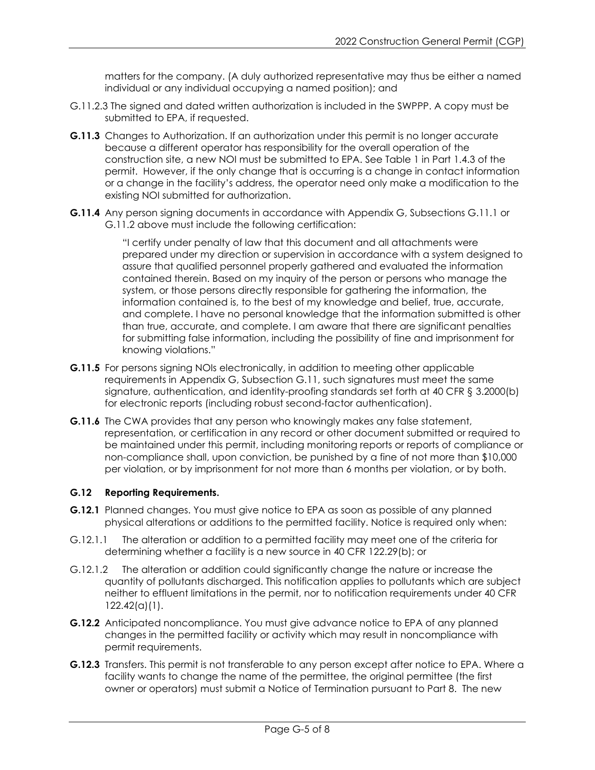matters for the company. (A duly authorized representative may thus be either a named individual or any individual occupying a named position); and

- G.11.2.3 The signed and dated written authorization is included in the SWPPP. A copy must be submitted to EPA, if requested.
- **G.11.3** Changes to Authorization. If an authorization under this permit is no longer accurate because a different operator has responsibility for the overall operation of the construction site, a new NOI must be submitted to EPA. See Table 1 in Part 1.4.3 of the permit. However, if the only change that is occurring is a change in contact information or a change in the facility's address, the operator need only make a modification to the existing NOI submitted for authorization.
- **G.11.4** Any person signing documents in accordance with Appendix G, Subsections G.11.1 or G.11.2 above must include the following certification:

"I certify under penalty of law that this document and all attachments were prepared under my direction or supervision in accordance with a system designed to assure that qualified personnel properly gathered and evaluated the information contained therein. Based on my inquiry of the person or persons who manage the system, or those persons directly responsible for gathering the information, the information contained is, to the best of my knowledge and belief, true, accurate, and complete. I have no personal knowledge that the information submitted is other than true, accurate, and complete. I am aware that there are significant penalties for submitting false information, including the possibility of fine and imprisonment for knowing violations."

- **G.11.5** For persons signing NOIs electronically, in addition to meeting other applicable requirements in Appendix G, Subsection G.11, such signatures must meet the same signature, authentication, and identity-proofing standards set forth at 40 CFR § 3.2000(b) for electronic reports (including robust second-factor authentication).
- **G.11.6** The CWA provides that any person who knowingly makes any false statement, representation, or certification in any record or other document submitted or required to be maintained under this permit, including monitoring reports or reports of compliance or non-compliance shall, upon conviction, be punished by a fine of not more than \$10,000 per violation, or by imprisonment for not more than 6 months per violation, or by both.

### **G.12 Reporting Requirements.**

- **G.12.1** Planned changes. You must give notice to EPA as soon as possible of any planned physical alterations or additions to the permitted facility. Notice is required only when:
- G.12.1.1 The alteration or addition to a permitted facility may meet one of the criteria for determining whether a facility is a new source in 40 CFR 122.29(b); or
- G.12.1.2 The alteration or addition could significantly change the nature or increase the quantity of pollutants discharged. This notification applies to pollutants which are subject neither to effluent limitations in the permit, nor to notification requirements under 40 CFR 122.42(a)(1).
- **G.12.2** Anticipated noncompliance. You must give advance notice to EPA of any planned changes in the permitted facility or activity which may result in noncompliance with permit requirements.
- **G.12.3** Transfers. This permit is not transferable to any person except after notice to EPA. Where a facility wants to change the name of the permittee, the original permittee (the first owner or operators) must submit a Notice of Termination pursuant to Part 8. The new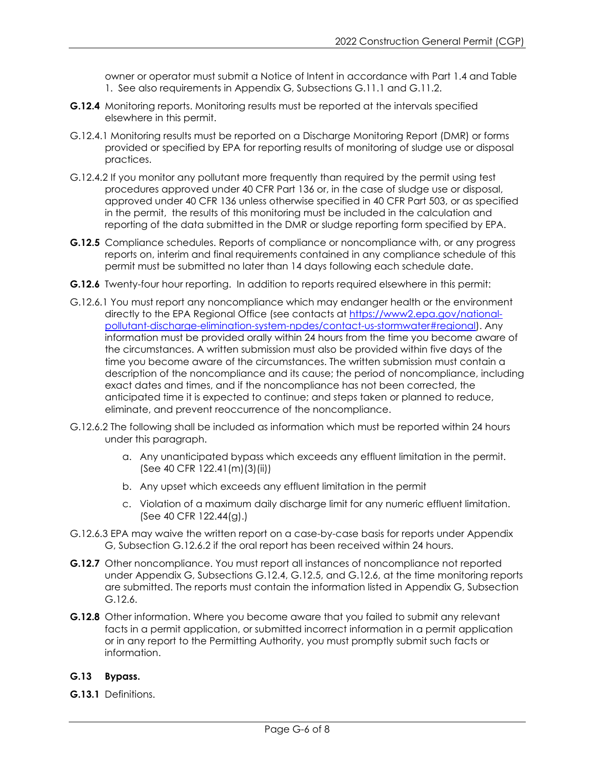owner or operator must submit a Notice of Intent in accordance with Part 1.4 and Table 1. See also requirements in Appendix G, Subsections G.11.1 and G.11.2.

- **G.12.4** Monitoring reports. Monitoring results must be reported at the intervals specified elsewhere in this permit.
- G.12.4.1 Monitoring results must be reported on a Discharge Monitoring Report (DMR) or forms provided or specified by EPA for reporting results of monitoring of sludge use or disposal practices.
- G.12.4.2 If you monitor any pollutant more frequently than required by the permit using test procedures approved under 40 CFR Part 136 or, in the case of sludge use or disposal, approved under 40 CFR 136 unless otherwise specified in 40 CFR Part 503, or as specified in the permit, the results of this monitoring must be included in the calculation and reporting of the data submitted in the DMR or sludge reporting form specified by EPA.
- **G.12.5** Compliance schedules. Reports of compliance or noncompliance with, or any progress reports on, interim and final requirements contained in any compliance schedule of this permit must be submitted no later than 14 days following each schedule date.
- **G.12.6** Twenty-four hour reporting. In addition to reports required elsewhere in this permit:
- G.12.6.1 You must report any noncompliance which may endanger health or the environment directly to the EPA Regional Office (see contacts at [https://www2.epa.gov/national](https://www2.epa.gov/national-pollutant-discharge-elimination-system-npdes/contact-us-stormwater#regional)[pollutant-discharge-elimination-system-npdes/contact-us-stormwater#regional\)](https://www2.epa.gov/national-pollutant-discharge-elimination-system-npdes/contact-us-stormwater#regional). Any information must be provided orally within 24 hours from the time you become aware of the circumstances. A written submission must also be provided within five days of the time you become aware of the circumstances. The written submission must contain a description of the noncompliance and its cause; the period of noncompliance, including exact dates and times, and if the noncompliance has not been corrected, the anticipated time it is expected to continue; and steps taken or planned to reduce, eliminate, and prevent reoccurrence of the noncompliance.
- G.12.6.2 The following shall be included as information which must be reported within 24 hours under this paragraph.
	- a. Any unanticipated bypass which exceeds any effluent limitation in the permit. (See 40 CFR 122.41(m)(3)(ii))
	- b. Any upset which exceeds any effluent limitation in the permit
	- c. Violation of a maximum daily discharge limit for any numeric effluent limitation. (See 40 CFR 122.44(g).)
- G.12.6.3 EPA may waive the written report on a case-by-case basis for reports under Appendix G, Subsection G.12.6.2 if the oral report has been received within 24 hours.
- **G.12.7** Other noncompliance. You must report all instances of noncompliance not reported under Appendix G, Subsections G.12.4, G.12.5, and G.12.6, at the time monitoring reports are submitted. The reports must contain the information listed in Appendix G, Subsection G.12.6.
- **G.12.8** Other information. Where you become aware that you failed to submit any relevant facts in a permit application, or submitted incorrect information in a permit application or in any report to the Permitting Authority, you must promptly submit such facts or information.

### **G.13 Bypass.**

**G.13.1** Definitions.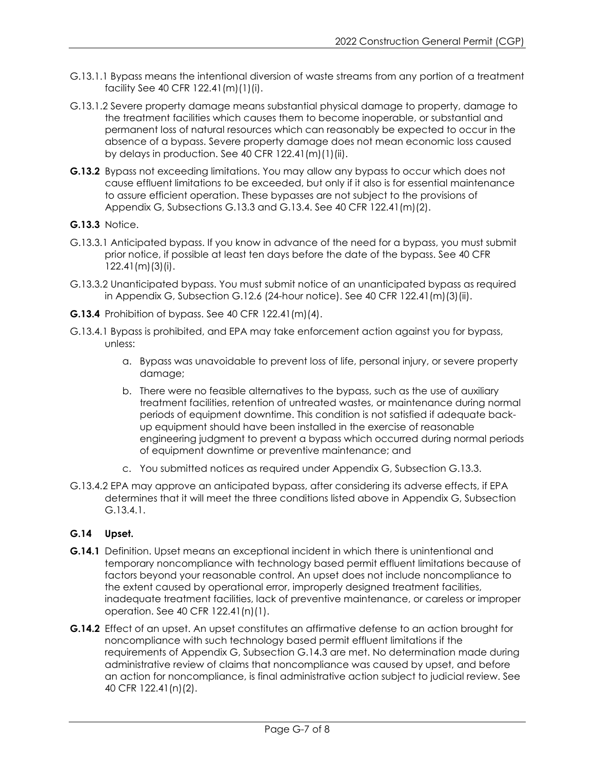- G.13.1.1 Bypass means the intentional diversion of waste streams from any portion of a treatment facility See 40 CFR 122.41(m)(1)(i).
- G.13.1.2 Severe property damage means substantial physical damage to property, damage to the treatment facilities which causes them to become inoperable, or substantial and permanent loss of natural resources which can reasonably be expected to occur in the absence of a bypass. Severe property damage does not mean economic loss caused by delays in production. See 40 CFR  $122.41(m)(1)(ii)$ .
- **G.13.2** Bypass not exceeding limitations. You may allow any bypass to occur which does not cause effluent limitations to be exceeded, but only if it also is for essential maintenance to assure efficient operation. These bypasses are not subject to the provisions of Appendix G, Subsections G.13.3 and G.13.4. See 40 CFR 122.41(m)(2).
- **G.13.3** Notice.
- G.13.3.1 Anticipated bypass. If you know in advance of the need for a bypass, you must submit prior notice, if possible at least ten days before the date of the bypass. See 40 CFR 122.41(m)(3)(i).
- G.13.3.2 Unanticipated bypass. You must submit notice of an unanticipated bypass as required in Appendix G, Subsection G.12.6 (24-hour notice). See 40 CFR 122.41(m)(3)(ii).
- **G.13.4** Prohibition of bypass. See 40 CFR 122.41(m)(4).
- G.13.4.1 Bypass is prohibited, and EPA may take enforcement action against you for bypass, unless:
	- a. Bypass was unavoidable to prevent loss of life, personal injury, or severe property damage;
	- b. There were no feasible alternatives to the bypass, such as the use of auxiliary treatment facilities, retention of untreated wastes, or maintenance during normal periods of equipment downtime. This condition is not satisfied if adequate backup equipment should have been installed in the exercise of reasonable engineering judgment to prevent a bypass which occurred during normal periods of equipment downtime or preventive maintenance; and
	- c. You submitted notices as required under Appendix G, Subsection G.13.3.
- G.13.4.2 EPA may approve an anticipated bypass, after considering its adverse effects, if EPA determines that it will meet the three conditions listed above in Appendix G, Subsection G.13.4.1.

### **G.14 Upset.**

- **G.14.1** Definition. Upset means an exceptional incident in which there is unintentional and temporary noncompliance with technology based permit effluent limitations because of factors beyond your reasonable control. An upset does not include noncompliance to the extent caused by operational error, improperly designed treatment facilities, inadequate treatment facilities, lack of preventive maintenance, or careless or improper operation. See 40 CFR 122.41(n)(1).
- **G.14.2** Effect of an upset. An upset constitutes an affirmative defense to an action brought for noncompliance with such technology based permit effluent limitations if the requirements of Appendix G, Subsection G.14.3 are met. No determination made during administrative review of claims that noncompliance was caused by upset, and before an action for noncompliance, is final administrative action subject to judicial review. See 40 CFR 122.41(n)(2).